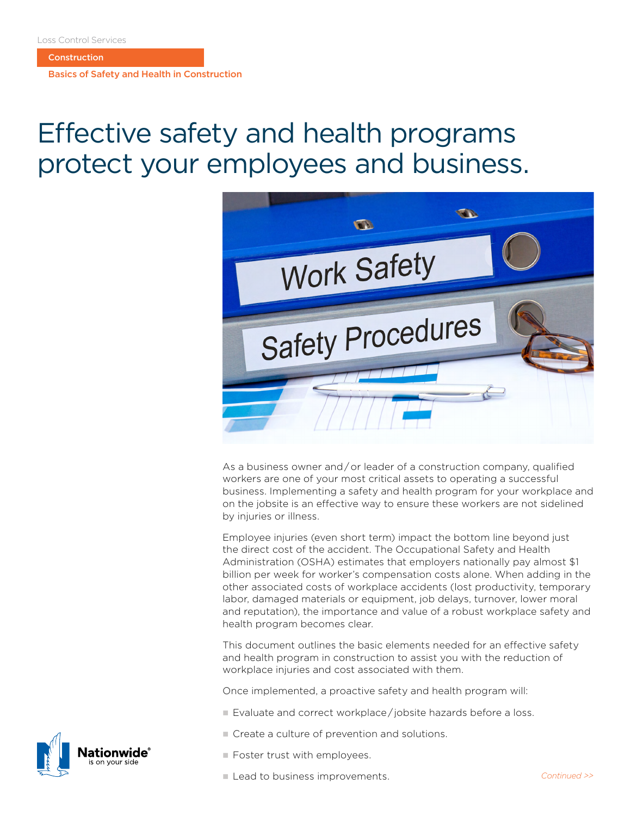**Construction** 

Basics of Safety and Health in Construction

# Effective safety and health programs protect your employees and business.



As a business owner and / or leader of a construction company, qualified workers are one of your most critical assets to operating a successful business. Implementing a safety and health program for your workplace and on the jobsite is an effective way to ensure these workers are not sidelined by injuries or illness.

Employee injuries (even short term) impact the bottom line beyond just the direct cost of the accident. The Occupational Safety and Health Administration (OSHA) estimates that employers nationally pay almost \$1 billion per week for worker's compensation costs alone. When adding in the other associated costs of workplace accidents (lost productivity, temporary labor, damaged materials or equipment, job delays, turnover, lower moral and reputation), the importance and value of a robust workplace safety and health program becomes clear.

This document outlines the basic elements needed for an effective safety and health program in construction to assist you with the reduction of workplace injuries and cost associated with them.

Once implemented, a proactive safety and health program will:

- Evaluate and correct workplace/iobsite hazards before a loss.
- Create a culture of prevention and solutions.
- $\blacksquare$  Foster trust with employees.
- Lead to business improvements. **and the continued >>** Continued >>

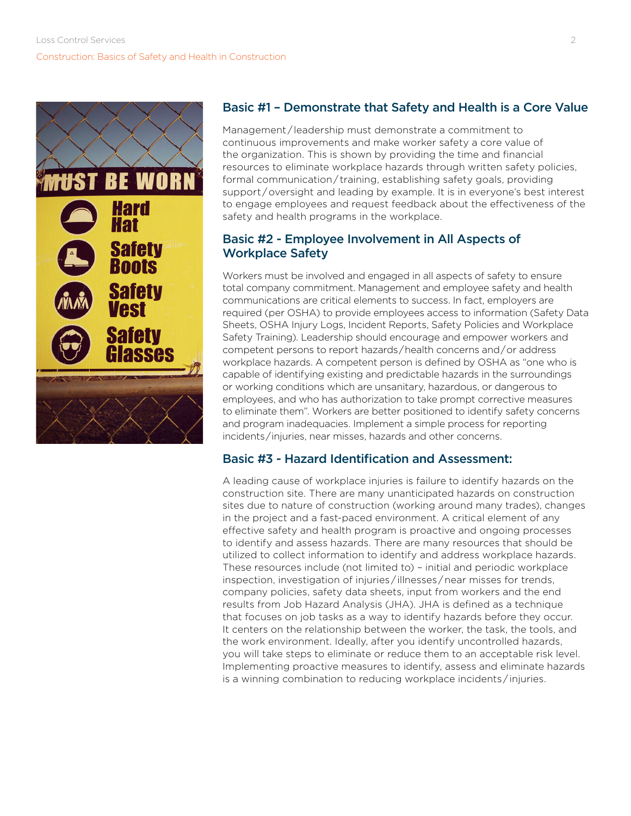

## Basic #1 – Demonstrate that Safety and Health is a Core Value

Management / leadership must demonstrate a commitment to continuous improvements and make worker safety a core value of the organization. This is shown by providing the time and financial resources to eliminate workplace hazards through written safety policies, formal communication / training, establishing safety goals, providing support / oversight and leading by example. It is in everyone's best interest to engage employees and request feedback about the effectiveness of the safety and health programs in the workplace.

### Basic #2 - Employee Involvement in All Aspects of Workplace Safety

Workers must be involved and engaged in all aspects of safety to ensure total company commitment. Management and employee safety and health communications are critical elements to success. In fact, employers are required (per OSHA) to provide employees access to information (Safety Data Sheets, OSHA Injury Logs, Incident Reports, Safety Policies and Workplace Safety Training). Leadership should encourage and empower workers and competent persons to report hazards / health concerns and / or address workplace hazards. A competent person is defined by OSHA as "one who is capable of identifying existing and predictable hazards in the surroundings or working conditions which are unsanitary, hazardous, or dangerous to employees, and who has authorization to take prompt corrective measures to eliminate them". Workers are better positioned to identify safety concerns and program inadequacies. Implement a simple process for reporting incidents / injuries, near misses, hazards and other concerns.

### Basic #3 - Hazard Identification and Assessment:

A leading cause of workplace injuries is failure to identify hazards on the construction site. There are many unanticipated hazards on construction sites due to nature of construction (working around many trades), changes in the project and a fast-paced environment. A critical element of any effective safety and health program is proactive and ongoing processes to identify and assess hazards. There are many resources that should be utilized to collect information to identify and address workplace hazards. These resources include (not limited to) – initial and periodic workplace inspection, investigation of injuries / illnesses / near misses for trends, company policies, safety data sheets, input from workers and the end results from Job Hazard Analysis (JHA). JHA is defined as a technique that focuses on job tasks as a way to identify hazards before they occur. It centers on the relationship between the worker, the task, the tools, and the work environment. Ideally, after you identify uncontrolled hazards, you will take steps to eliminate or reduce them to an acceptable risk level. Implementing proactive measures to identify, assess and eliminate hazards is a winning combination to reducing workplace incidents / injuries.